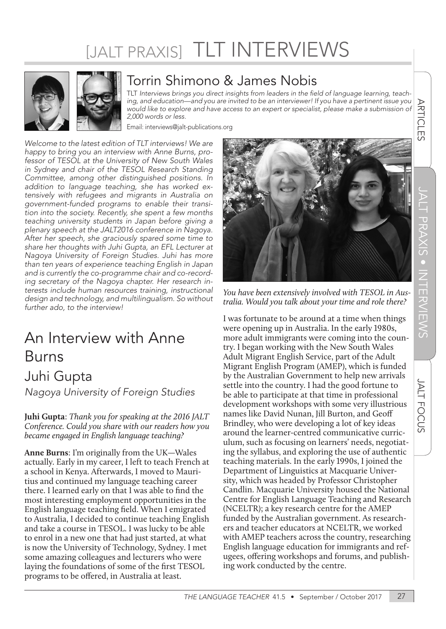# [JALT PRAXIS] TLT INTERVIEWS



### Torrin Shimono & James Nobis

TLT Interviews brings you direct insights from leaders in the field of language learning, teaching, and education—and you are invited to be an interviewer! If you have a pertinent issue you would like to explore and have access to an expert or specialist, please make a submission of 2,000 words or less.

Email: interviews@jalt-publications.org

*Welcome to the latest edition of TLT interviews! We are happy to bring you an interview with Anne Burns, professor of TESOL at the University of New South Wales in Sydney and chair of the TESOL Research Standing Committee, among other distinguished positions. In addition to language teaching, she has worked extensively with refugees and migrants in Australia on government-funded programs to enable their transition into the society. Recently, she spent a few months teaching university students in Japan before giving a plenary speech at the JALT2016 conference in Nagoya. After her speech, she graciously spared some time to share her thoughts with Juhi Gupta, an EFL Lecturer at Nagoya University of Foreign Studies. Juhi has more than ten years of experience teaching English in Japan and is currently the co-programme chair and co-recording secretary of the Nagoya chapter. Her research interests include human resources training, instructional design and technology, and multilingualism. So without further ado, to the interview!* 

## An Interview with Anne Burns Juhi Gupta *Nagoya University of Foreign Studies*

**Juhi Gupta**: *Thank you for speaking at the 2016 JALT Conference. Could you share with our readers how you became engaged in English language teaching?*

**Anne Burns**: I'm originally from the UK—Wales actually. Early in my career, I left to teach French at a school in Kenya. Afterwards, I moved to Mauritius and continued my language teaching career there. I learned early on that I was able to find the most interesting employment opportunities in the English language teaching field. When I emigrated to Australia, I decided to continue teaching English and take a course in TESOL. I was lucky to be able to enrol in a new one that had just started, at what is now the University of Technology, Sydney. I met some amazing colleagues and lecturers who were laying the foundations of some of the first TESOL programs to be offered, in Australia at least.



*You have been extensively involved with TESOL in Australia. Would you talk about your time and role there?*

I was fortunate to be around at a time when things were opening up in Australia. In the early 1980s, more adult immigrants were coming into the country. I began working with the New South Wales Adult Migrant English Service, part of the Adult Migrant English Program (AMEP), which is funded by the Australian Government to help new arrivals settle into the country. I had the good fortune to be able to participate at that time in professional development workshops with some very illustrious names like David Nunan, Jill Burton, and Geoff Brindley, who were developing a lot of key ideas around the learner-centred communicative curriculum, such as focusing on learners' needs, negotiating the syllabus, and exploring the use of authentic teaching materials. In the early 1990s, I joined the Department of Linguistics at Macquarie University, which was headed by Professor Christopher Candlin. Macquarie University housed the National Centre for English Language Teaching and Research (NCELTR); a key research centre for the AMEP funded by the Australian government. As researchers and teacher educators at NCELTR, we worked with AMEP teachers across the country, researching English language education for immigrants and refugees, offering workshops and forums, and publishing work conducted by the centre.

**ARTICLES**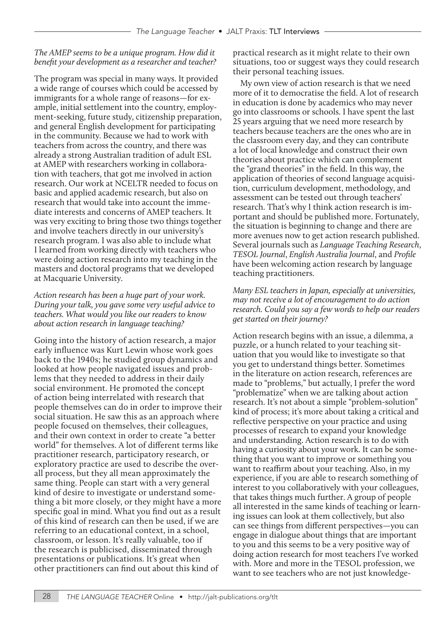#### *The AMEP seems to be a unique program. How did it benefit your development as a researcher and teacher?*

The program was special in many ways. It provided a wide range of courses which could be accessed by immigrants for a whole range of reasons—for example, initial settlement into the country, employment-seeking, future study, citizenship preparation, and general English development for participating in the community. Because we had to work with teachers from across the country, and there was already a strong Australian tradition of adult ESL at AMEP with researchers working in collaboration with teachers, that got me involved in action research. Our work at NCELTR needed to focus on basic and applied academic research, but also on research that would take into account the immediate interests and concerns of AMEP teachers. It was very exciting to bring those two things together and involve teachers directly in our university's research program. I was also able to include what I learned from working directly with teachers who were doing action research into my teaching in the masters and doctoral programs that we developed at Macquarie University.

#### *Action research has been a huge part of your work. During your talk, you gave some very useful advice to teachers. What would you like our readers to know about action research in language teaching?*

Going into the history of action research, a major early influence was Kurt Lewin whose work goes back to the 1940s; he studied group dynamics and looked at how people navigated issues and problems that they needed to address in their daily social environment. He promoted the concept of action being interrelated with research that people themselves can do in order to improve their social situation. He saw this as an approach where people focused on themselves, their colleagues, and their own context in order to create "a better world" for themselves. A lot of different terms like practitioner research, participatory research, or exploratory practice are used to describe the overall process, but they all mean approximately the same thing. People can start with a very general kind of desire to investigate or understand something a bit more closely, or they might have a more specific goal in mind. What you find out as a result of this kind of research can then be used, if we are referring to an educational context, in a school, classroom, or lesson. It's really valuable, too if the research is publicised, disseminated through presentations or publications. It's great when other practitioners can find out about this kind of

practical research as it might relate to their own situations, too or suggest ways they could research their personal teaching issues.

My own view of action research is that we need more of it to democratise the field. A lot of research in education is done by academics who may never go into classrooms or schools. I have spent the last 25 years arguing that we need more research by teachers because teachers are the ones who are in the classroom every day, and they can contribute a lot of local knowledge and construct their own theories about practice which can complement the "grand theories" in the field. In this way, the application of theories of second language acquisition, curriculum development, methodology, and assessment can be tested out through teachers' research. That's why I think action research is important and should be published more. Fortunately, the situation is beginning to change and there are more avenues now to get action research published. Several journals such as *Language Teaching Research*, *TESOL Journal*, *English Australia Journal*, and *Profile*  have been welcoming action research by language teaching practitioners.

#### *Many ESL teachers in Japan, especially at universities, may not receive a lot of encouragement to do action research. Could you say a few words to help our readers get started on their journey?*

Action research begins with an issue, a dilemma, a puzzle, or a hunch related to your teaching situation that you would like to investigate so that you get to understand things better. Sometimes in the literature on action research, references are made to "problems," but actually, I prefer the word "problematize" when we are talking about action research. It's not about a simple "problem-solution" kind of process; it's more about taking a critical and reflective perspective on your practice and using processes of research to expand your knowledge and understanding. Action research is to do with having a curiosity about your work. It can be something that you want to improve or something you want to reaffirm about your teaching. Also, in my experience, if you are able to research something of interest to you collaboratively with your colleagues, that takes things much further. A group of people all interested in the same kinds of teaching or learning issues can look at them collectively, but also can see things from different perspectives—you can engage in dialogue about things that are important to you and this seems to be a very positive way of doing action research for most teachers I've worked with. More and more in the TESOL profession, we want to see teachers who are not just knowledge